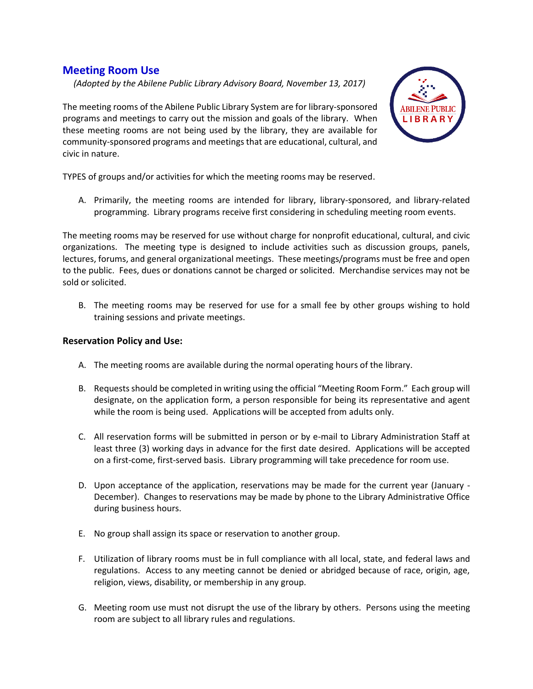## **Meeting Room Use**

 *(Adopted by the Abilene Public Library Advisory Board, November 13, 2017)*

The meeting rooms of the Abilene Public Library System are for library-sponsored programs and meetings to carry out the mission and goals of the library. When these meeting rooms are not being used by the library, they are available for community-sponsored programs and meetings that are educational, cultural, and civic in nature.



TYPES of groups and/or activities for which the meeting rooms may be reserved.

A. Primarily, the meeting rooms are intended for library, library-sponsored, and library-related programming. Library programs receive first considering in scheduling meeting room events.

The meeting rooms may be reserved for use without charge for nonprofit educational, cultural, and civic organizations. The meeting type is designed to include activities such as discussion groups, panels, lectures, forums, and general organizational meetings. These meetings/programs must be free and open to the public. Fees, dues or donations cannot be charged or solicited. Merchandise services may not be sold or solicited.

B. The meeting rooms may be reserved for use for a small fee by other groups wishing to hold training sessions and private meetings.

## **Reservation Policy and Use:**

- A. The meeting rooms are available during the normal operating hours of the library.
- B. Requests should be completed in writing using the official "Meeting Room Form." Each group will designate, on the application form, a person responsible for being its representative and agent while the room is being used. Applications will be accepted from adults only.
- C. All reservation forms will be submitted in person or by e-mail to Library Administration Staff at least three (3) working days in advance for the first date desired. Applications will be accepted on a first-come, first-served basis. Library programming will take precedence for room use.
- D. Upon acceptance of the application, reservations may be made for the current year (January December). Changes to reservations may be made by phone to the Library Administrative Office during business hours.
- E. No group shall assign its space or reservation to another group.
- F. Utilization of library rooms must be in full compliance with all local, state, and federal laws and regulations. Access to any meeting cannot be denied or abridged because of race, origin, age, religion, views, disability, or membership in any group.
- G. Meeting room use must not disrupt the use of the library by others. Persons using the meeting room are subject to all library rules and regulations.